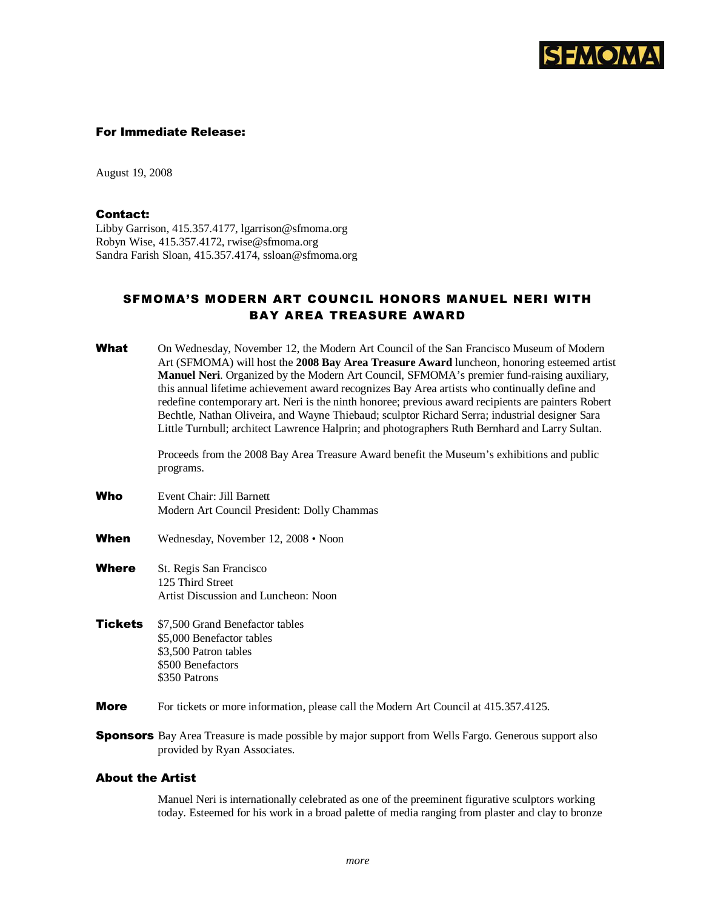

### For Immediate Release:

August 19, 2008

## Contact:

Libby Garrison, 415.357.4177, lgarrison@sfmoma.org Robyn Wise, 415.357.4172, rwise@sfmoma.org Sandra Farish Sloan, 415.357.4174, ssloan@sfmoma.org

# SFMOMA'S MODERN ART COUNCIL HONORS MANUEL NERI WITH BAY AREA TREASURE AWARD

| What           | On Wednesday, November 12, the Modern Art Council of the San Francisco Museum of Modern<br>Art (SFMOMA) will host the 2008 Bay Area Treasure Award luncheon, honoring esteemed artist<br>Manuel Neri. Organized by the Modern Art Council, SFMOMA's premier fund-raising auxiliary,<br>this annual lifetime achievement award recognizes Bay Area artists who continually define and<br>redefine contemporary art. Neri is the ninth honoree; previous award recipients are painters Robert<br>Bechtle, Nathan Oliveira, and Wayne Thiebaud; sculptor Richard Serra; industrial designer Sara<br>Little Turnbull; architect Lawrence Halprin; and photographers Ruth Bernhard and Larry Sultan.<br>Proceeds from the 2008 Bay Area Treasure Award benefit the Museum's exhibitions and public<br>programs. |
|----------------|------------------------------------------------------------------------------------------------------------------------------------------------------------------------------------------------------------------------------------------------------------------------------------------------------------------------------------------------------------------------------------------------------------------------------------------------------------------------------------------------------------------------------------------------------------------------------------------------------------------------------------------------------------------------------------------------------------------------------------------------------------------------------------------------------------|
| Who            | Event Chair: Jill Barnett<br>Modern Art Council President: Dolly Chammas                                                                                                                                                                                                                                                                                                                                                                                                                                                                                                                                                                                                                                                                                                                                   |
| When           | Wednesday, November 12, 2008 • Noon                                                                                                                                                                                                                                                                                                                                                                                                                                                                                                                                                                                                                                                                                                                                                                        |
| Where          | St. Regis San Francisco<br>125 Third Street<br>Artist Discussion and Luncheon: Noon                                                                                                                                                                                                                                                                                                                                                                                                                                                                                                                                                                                                                                                                                                                        |
| <b>Tickets</b> | \$7,500 Grand Benefactor tables<br>\$5,000 Benefactor tables<br>\$3,500 Patron tables<br>\$500 Benefactors<br>\$350 Patrons                                                                                                                                                                                                                                                                                                                                                                                                                                                                                                                                                                                                                                                                                |
| <b>More</b>    | For tickets or more information, please call the Modern Art Council at 415.357.4125.                                                                                                                                                                                                                                                                                                                                                                                                                                                                                                                                                                                                                                                                                                                       |
|                | <b>Spanneare</b> $D_{0V}$ Area Treasure is made possible by major support from Wells Earge Caperous support also                                                                                                                                                                                                                                                                                                                                                                                                                                                                                                                                                                                                                                                                                           |

**Sponsors** Bay Area Treasure is made possible by major support from Wells Fargo. Generous support also provided by Ryan Associates.

## About the Artist

Manuel Neri is internationally celebrated as one of the preeminent figurative sculptors working today. Esteemed for his work in a broad palette of media ranging from plaster and clay to bronze